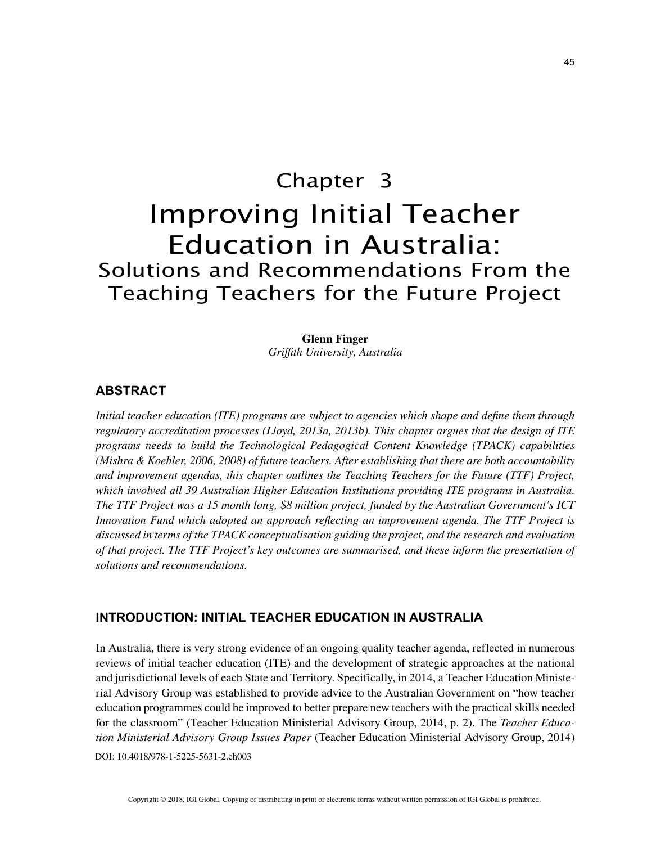# Chapter 3 Improving Initial Teacher Education in Australia: Solutions and Recommendations From the Teaching Teachers for the Future Project

**Glenn Finger** *Griffith University, Australia*

### **ABSTRACT**

*Initial teacher education (ITE) programs are subject to agencies which shape and define them through regulatory accreditation processes (Lloyd, 2013a, 2013b). This chapter argues that the design of ITE programs needs to build the Technological Pedagogical Content Knowledge (TPACK) capabilities (Mishra & Koehler, 2006, 2008) of future teachers. After establishing that there are both accountability and improvement agendas, this chapter outlines the Teaching Teachers for the Future (TTF) Project, which involved all 39 Australian Higher Education Institutions providing ITE programs in Australia. The TTF Project was a 15 month long, \$8 million project, funded by the Australian Government's ICT Innovation Fund which adopted an approach reflecting an improvement agenda. The TTF Project is discussed in terms of the TPACK conceptualisation guiding the project, and the research and evaluation of that project. The TTF Project's key outcomes are summarised, and these inform the presentation of solutions and recommendations.*

## **INTRODUCTION: INITIAL TEACHER EDUCATION IN AUSTRALIA**

DOI: 10.4018/978-1-5225-5631-2.ch003 In Australia, there is very strong evidence of an ongoing quality teacher agenda, reflected in numerous reviews of initial teacher education (ITE) and the development of strategic approaches at the national and jurisdictional levels of each State and Territory. Specifically, in 2014, a Teacher Education Ministerial Advisory Group was established to provide advice to the Australian Government on "how teacher education programmes could be improved to better prepare new teachers with the practical skills needed for the classroom" (Teacher Education Ministerial Advisory Group, 2014, p. 2). The *Teacher Education Ministerial Advisory Group Issues Paper* (Teacher Education Ministerial Advisory Group, 2014)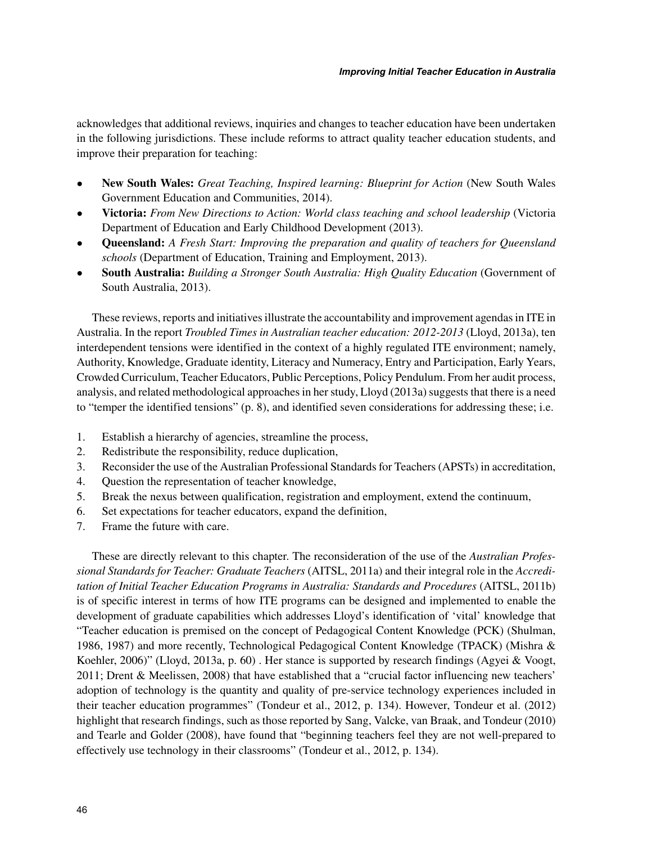acknowledges that additional reviews, inquiries and changes to teacher education have been undertaken in the following jurisdictions. These include reforms to attract quality teacher education students, and improve their preparation for teaching:

- **New South Wales:** *Great Teaching, Inspired learning: Blueprint for Action* (New South Wales Government Education and Communities, 2014).
- **Victoria:** *From New Directions to Action: World class teaching and school leadership* (Victoria Department of Education and Early Childhood Development (2013).
- **Queensland:** *A Fresh Start: Improving the preparation and quality of teachers for Queensland schools* (Department of Education, Training and Employment, 2013).
- **South Australia:** *Building a Stronger South Australia: High Quality Education* (Government of South Australia, 2013).

These reviews, reports and initiatives illustrate the accountability and improvement agendas in ITE in Australia. In the report *Troubled Times in Australian teacher education: 2012-2013* (Lloyd, 2013a), ten interdependent tensions were identified in the context of a highly regulated ITE environment; namely, Authority, Knowledge, Graduate identity, Literacy and Numeracy, Entry and Participation, Early Years, Crowded Curriculum, Teacher Educators, Public Perceptions, Policy Pendulum. From her audit process, analysis, and related methodological approaches in her study, Lloyd (2013a) suggests that there is a need to "temper the identified tensions" (p. 8), and identified seven considerations for addressing these; i.e.

- 1. Establish a hierarchy of agencies, streamline the process,
- 2. Redistribute the responsibility, reduce duplication,
- 3. Reconsider the use of the Australian Professional Standards for Teachers (APSTs) in accreditation,
- 4. Question the representation of teacher knowledge,
- 5. Break the nexus between qualification, registration and employment, extend the continuum,
- 6. Set expectations for teacher educators, expand the definition,
- 7. Frame the future with care.

These are directly relevant to this chapter. The reconsideration of the use of the *Australian Professional Standards for Teacher: Graduate Teachers* (AITSL, 2011a) and their integral role in the *Accreditation of Initial Teacher Education Programs in Australia: Standards and Procedures* (AITSL, 2011b) is of specific interest in terms of how ITE programs can be designed and implemented to enable the development of graduate capabilities which addresses Lloyd's identification of 'vital' knowledge that "Teacher education is premised on the concept of Pedagogical Content Knowledge (PCK) (Shulman, 1986, 1987) and more recently, Technological Pedagogical Content Knowledge (TPACK) (Mishra & Koehler, 2006)" (Lloyd, 2013a, p. 60) . Her stance is supported by research findings (Agyei & Voogt, 2011; Drent & Meelissen, 2008) that have established that a "crucial factor influencing new teachers' adoption of technology is the quantity and quality of pre-service technology experiences included in their teacher education programmes" (Tondeur et al., 2012, p. 134). However, Tondeur et al. (2012) highlight that research findings, such as those reported by Sang, Valcke, van Braak, and Tondeur (2010) and Tearle and Golder (2008), have found that "beginning teachers feel they are not well-prepared to effectively use technology in their classrooms" (Tondeur et al., 2012, p. 134).